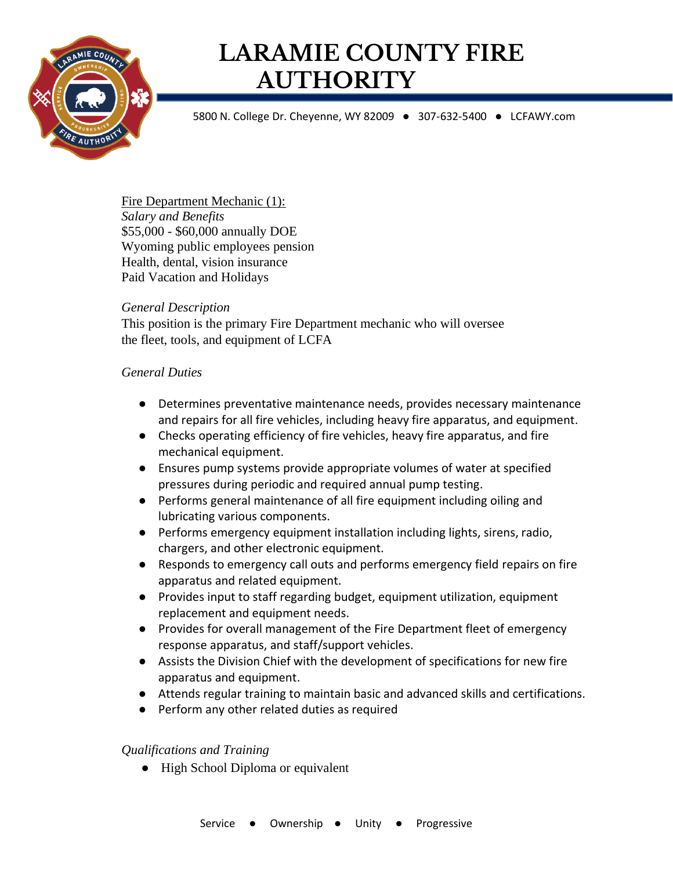

# **LARAMIE COUNTY FIRE AUTHORITY**

5800 N. College Dr. Cheyenne, WY 82009 ● 307-632-5400 ● LCFAWY.com

Fire Department Mechanic (1): *Salary and Benefits* \$55,000 - \$60,000 annually DOE Wyoming public employees pension Health, dental, vision insurance Paid Vacation and Holidays

#### *General Description*

This position is the primary Fire Department mechanic who will oversee the fleet, tools, and equipment of LCFA

#### *General Duties*

- Determines preventative maintenance needs, provides necessary maintenance and repairs for all fire vehicles, including heavy fire apparatus, and equipment.
- Checks operating efficiency of fire vehicles, heavy fire apparatus, and fire mechanical equipment.
- Ensures pump systems provide appropriate volumes of water at specified pressures during periodic and required annual pump testing.
- Performs general maintenance of all fire equipment including oiling and lubricating various components.
- Performs emergency equipment installation including lights, sirens, radio, chargers, and other electronic equipment.
- Responds to emergency call outs and performs emergency field repairs on fire apparatus and related equipment.
- Provides input to staff regarding budget, equipment utilization, equipment replacement and equipment needs.
- Provides for overall management of the Fire Department fleet of emergency response apparatus, and staff/support vehicles.
- Assists the Division Chief with the development of specifications for new fire apparatus and equipment.
- Attends regular training to maintain basic and advanced skills and certifications.
- Perform any other related duties as required

### *Qualifications and Training*

• High School Diploma or equivalent